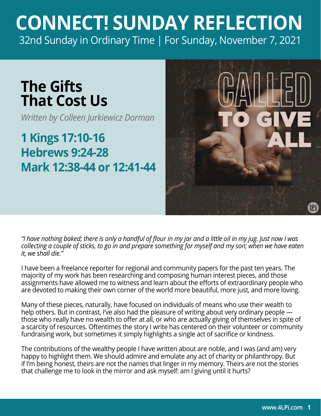## **CONNECT! SUNDAY REFLECTION** [32nd Sunday in Ordinary Time | For Sunday, November 7, 2021](https://bible.usccb.org/bible/readings/110721.cfm)

## **The Gifts That Cost Us**

*Written by Colleen Jurkiewicz Dorman*

## **1 Kings 17:10-16 Hebrews 9:24-28 Mark 12:38-44 or 12:41-44**



*"I have nothing baked; there is only a handful of flour in my jar and a little oil in my jug. Just now I was collecting a couple of sticks, to go in and prepare something for myself and my son; when we have eaten it, we shall die."* 

I have been a freelance reporter for regional and community papers for the past ten years. The majority of my work has been researching and composing human interest pieces, and those assignments have allowed me to witness and learn about the efforts of extraordinary people who are devoted to making their own corner of the world more beautiful, more just, and more loving.

Many of these pieces, naturally, have focused on individuals of means who use their wealth to help others. But in contrast, I've also had the pleasure of writing about very ordinary people those who really have no wealth to offer at all, or who are actually giving of themselves in spite of a scarcity of resources. Oftentimes the story I write has centered on their volunteer or community fundraising work, but sometimes it simply highlights a single act of sacrifice or kindness.

The contributions of the wealthy people I have written about are noble, and I was (and am) very happy to highlight them. We should admire and emulate any act of charity or philanthropy. But if I'm being honest, theirs are not the names that linger in my memory. Theirs are not the stories that challenge me to look in the mirror and ask myself: am I giving until it hurts?